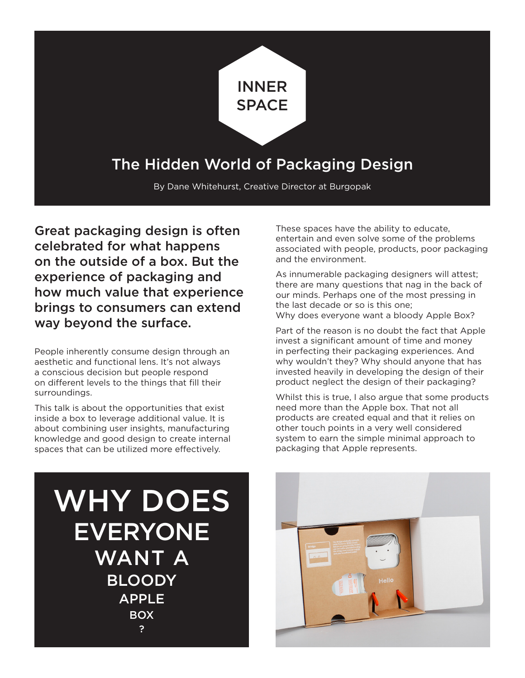

## The Hidden World of Packaging Design

By Dane Whitehurst, Creative Director at Burgopak

Great packaging design is often celebrated for what happens on the outside of a box. But the experience of packaging and how much value that experience brings to consumers can extend way beyond the surface.

People inherently consume design through an aesthetic and functional lens. It's not always a conscious decision but people respond on different levels to the things that fill their surroundings.

This talk is about the opportunities that exist inside a box to leverage additional value. It is about combining user insights, manufacturing knowledge and good design to create internal spaces that can be utilized more effectively.

These spaces have the ability to educate, entertain and even solve some of the problems associated with people, products, poor packaging and the environment.

As innumerable packaging designers will attest; there are many questions that nag in the back of our minds. Perhaps one of the most pressing in the last decade or so is this one; Why does everyone want a bloody Apple Box?

Part of the reason is no doubt the fact that Apple invest a significant amount of time and money in perfecting their packaging experiences. And why wouldn't they? Why should anyone that has invested heavily in developing the design of their product neglect the design of their packaging?

Whilst this is true, I also argue that some products need more than the Apple box. That not all products are created equal and that it relies on other touch points in a very well considered system to earn the simple minimal approach to packaging that Apple represents.

WHY DOES EVERYONE WANT A BLOODY APPLE BOX ?